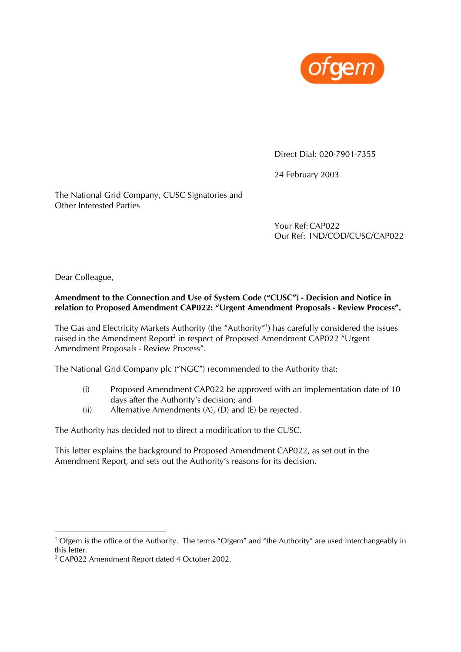

Direct Dial: 020-7901-7355

24 February 2003

The National Grid Company, CUSC Signatories and Other Interested Parties

> Your Ref:CAP022 Our Ref: IND/COD/CUSC/CAP022

Dear Colleague,

# **Amendment to the Connection and Use of System Code ("CUSC") - Decision and Notice in relation to Proposed Amendment CAP022: "Urgent Amendment Proposals - Review Process".**

The Gas and Electricity Markets Authority (the "Authority"[1](#page-0-0) ) has carefully considered the issues raised in the Amendment Report<sup>2</sup> in respect of Proposed Amendment CAP022 "Urgent Amendment Proposals - Review Process".

The National Grid Company plc ("NGC") recommended to the Authority that:

- (i) Proposed Amendment CAP022 be approved with an implementation date of 10 days after the Authority's decision; and
- (ii) Alternative Amendments (A), (D) and (E) be rejected.

The Authority has decided not to direct a modification to the CUSC.

This letter explains the background to Proposed Amendment CAP022, as set out in the Amendment Report, and sets out the Authority's reasons for its decision.

<span id="page-0-0"></span><sup>|&</sup>lt;br>1 <sup>1</sup> Ofgem is the office of the Authority. The terms "Ofgem" and "the Authority" are used interchangeably in this letter.

<span id="page-0-1"></span><sup>&</sup>lt;sup>2</sup> CAP022 Amendment Report dated 4 October 2002.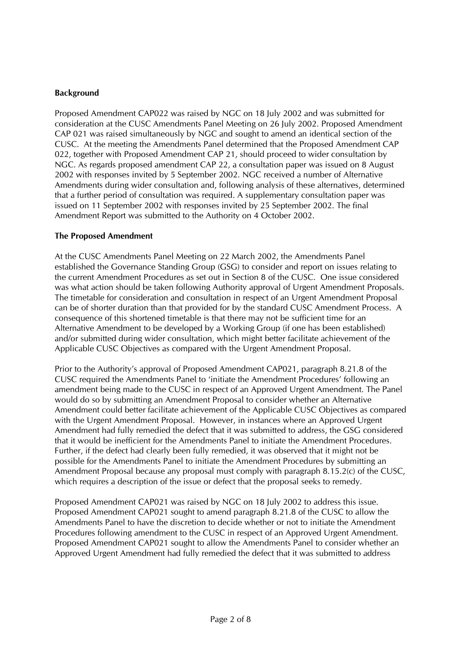# **Background**

Proposed Amendment CAP022 was raised by NGC on 18 July 2002 and was submitted for consideration at the CUSC Amendments Panel Meeting on 26 July 2002. Proposed Amendment CAP 021 was raised simultaneously by NGC and sought to amend an identical section of the CUSC. At the meeting the Amendments Panel determined that the Proposed Amendment CAP 022, together with Proposed Amendment CAP 21, should proceed to wider consultation by NGC. As regards proposed amendment CAP 22, a consultation paper was issued on 8 August 2002 with responses invited by 5 September 2002. NGC received a number of Alternative Amendments during wider consultation and, following analysis of these alternatives, determined that a further period of consultation was required. A supplementary consultation paper was issued on 11 September 2002 with responses invited by 25 September 2002. The final Amendment Report was submitted to the Authority on 4 October 2002.

## **The Proposed Amendment**

At the CUSC Amendments Panel Meeting on 22 March 2002, the Amendments Panel established the Governance Standing Group (GSG) to consider and report on issues relating to the current Amendment Procedures as set out in Section 8 of the CUSC. One issue considered was what action should be taken following Authority approval of Urgent Amendment Proposals. The timetable for consideration and consultation in respect of an Urgent Amendment Proposal can be of shorter duration than that provided for by the standard CUSC Amendment Process. A consequence of this shortened timetable is that there may not be sufficient time for an Alternative Amendment to be developed by a Working Group (if one has been established) and/or submitted during wider consultation, which might better facilitate achievement of the Applicable CUSC Objectives as compared with the Urgent Amendment Proposal.

Prior to the Authority's approval of Proposed Amendment CAP021, paragraph 8.21.8 of the CUSC required the Amendments Panel to 'initiate the Amendment Procedures' following an amendment being made to the CUSC in respect of an Approved Urgent Amendment. The Panel would do so by submitting an Amendment Proposal to consider whether an Alternative Amendment could better facilitate achievement of the Applicable CUSC Objectives as compared with the Urgent Amendment Proposal. However, in instances where an Approved Urgent Amendment had fully remedied the defect that it was submitted to address, the GSG considered that it would be inefficient for the Amendments Panel to initiate the Amendment Procedures. Further, if the defect had clearly been fully remedied, it was observed that it might not be possible for the Amendments Panel to initiate the Amendment Procedures by submitting an Amendment Proposal because any proposal must comply with paragraph 8.15.2(c) of the CUSC, which requires a description of the issue or defect that the proposal seeks to remedy.

Proposed Amendment CAP021 was raised by NGC on 18 July 2002 to address this issue. Proposed Amendment CAP021 sought to amend paragraph 8.21.8 of the CUSC to allow the Amendments Panel to have the discretion to decide whether or not to initiate the Amendment Procedures following amendment to the CUSC in respect of an Approved Urgent Amendment. Proposed Amendment CAP021 sought to allow the Amendments Panel to consider whether an Approved Urgent Amendment had fully remedied the defect that it was submitted to address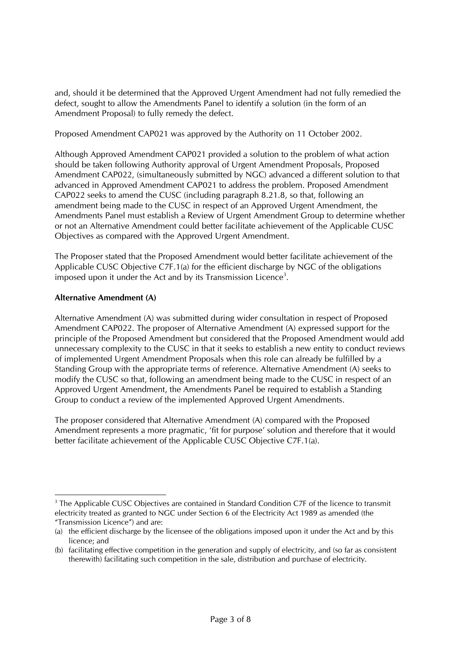and, should it be determined that the Approved Urgent Amendment had not fully remedied the defect, sought to allow the Amendments Panel to identify a solution (in the form of an Amendment Proposal) to fully remedy the defect.

Proposed Amendment CAP021 was approved by the Authority on 11 October 2002.

Although Approved Amendment CAP021 provided a solution to the problem of what action should be taken following Authority approval of Urgent Amendment Proposals, Proposed Amendment CAP022, (simultaneously submitted by NGC) advanced a different solution to that advanced in Approved Amendment CAP021 to address the problem. Proposed Amendment CAP022 seeks to amend the CUSC (including paragraph 8.21.8, so that, following an amendment being made to the CUSC in respect of an Approved Urgent Amendment, the Amendments Panel must establish a Review of Urgent Amendment Group to determine whether or not an Alternative Amendment could better facilitate achievement of the Applicable CUSC Objectives as compared with the Approved Urgent Amendment.

The Proposer stated that the Proposed Amendment would better facilitate achievement of the Applicable CUSC Objective C7F.1(a) for the efficient discharge by NGC of the obligations imposed upon it under the Act and by its Transmission Licence<sup>[3](#page-2-0)</sup>.

# **Alternative Amendment (A)**

Alternative Amendment (A) was submitted during wider consultation in respect of Proposed Amendment CAP022. The proposer of Alternative Amendment (A) expressed support for the principle of the Proposed Amendment but considered that the Proposed Amendment would add unnecessary complexity to the CUSC in that it seeks to establish a new entity to conduct reviews of implemented Urgent Amendment Proposals when this role can already be fulfilled by a Standing Group with the appropriate terms of reference. Alternative Amendment (A) seeks to modify the CUSC so that, following an amendment being made to the CUSC in respect of an Approved Urgent Amendment, the Amendments Panel be required to establish a Standing Group to conduct a review of the implemented Approved Urgent Amendments.

The proposer considered that Alternative Amendment (A) compared with the Proposed Amendment represents a more pragmatic, 'fit for purpose' solution and therefore that it would better facilitate achievement of the Applicable CUSC Objective C7F.1(a).

<span id="page-2-0"></span> <sup>3</sup> <sup>3</sup> The Applicable CUSC Objectives are contained in Standard Condition C7F of the licence to transmit electricity treated as granted to NGC under Section 6 of the Electricity Act 1989 as amended (the "Transmission Licence") and are:

<sup>(</sup>a) the efficient discharge by the licensee of the obligations imposed upon it under the Act and by this licence; and

<sup>(</sup>b) facilitating effective competition in the generation and supply of electricity, and (so far as consistent therewith) facilitating such competition in the sale, distribution and purchase of electricity.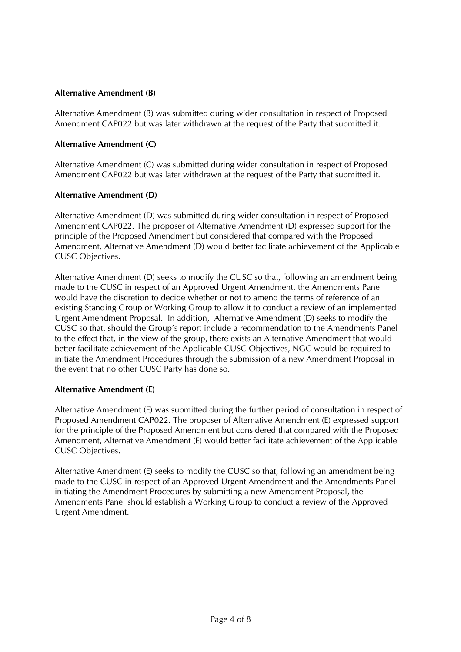# **Alternative Amendment (B)**

Alternative Amendment (B) was submitted during wider consultation in respect of Proposed Amendment CAP022 but was later withdrawn at the request of the Party that submitted it.

## **Alternative Amendment (C)**

Alternative Amendment (C) was submitted during wider consultation in respect of Proposed Amendment CAP022 but was later withdrawn at the request of the Party that submitted it.

### **Alternative Amendment (D)**

Alternative Amendment (D) was submitted during wider consultation in respect of Proposed Amendment CAP022. The proposer of Alternative Amendment (D) expressed support for the principle of the Proposed Amendment but considered that compared with the Proposed Amendment, Alternative Amendment (D) would better facilitate achievement of the Applicable CUSC Objectives.

Alternative Amendment (D) seeks to modify the CUSC so that, following an amendment being made to the CUSC in respect of an Approved Urgent Amendment, the Amendments Panel would have the discretion to decide whether or not to amend the terms of reference of an existing Standing Group or Working Group to allow it to conduct a review of an implemented Urgent Amendment Proposal. In addition, Alternative Amendment (D) seeks to modify the CUSC so that, should the Group's report include a recommendation to the Amendments Panel to the effect that, in the view of the group, there exists an Alternative Amendment that would better facilitate achievement of the Applicable CUSC Objectives, NGC would be required to initiate the Amendment Procedures through the submission of a new Amendment Proposal in the event that no other CUSC Party has done so.

#### **Alternative Amendment (E)**

Alternative Amendment (E) was submitted during the further period of consultation in respect of Proposed Amendment CAP022. The proposer of Alternative Amendment (E) expressed support for the principle of the Proposed Amendment but considered that compared with the Proposed Amendment, Alternative Amendment (E) would better facilitate achievement of the Applicable CUSC Objectives.

Alternative Amendment (E) seeks to modify the CUSC so that, following an amendment being made to the CUSC in respect of an Approved Urgent Amendment and the Amendments Panel initiating the Amendment Procedures by submitting a new Amendment Proposal, the Amendments Panel should establish a Working Group to conduct a review of the Approved Urgent Amendment.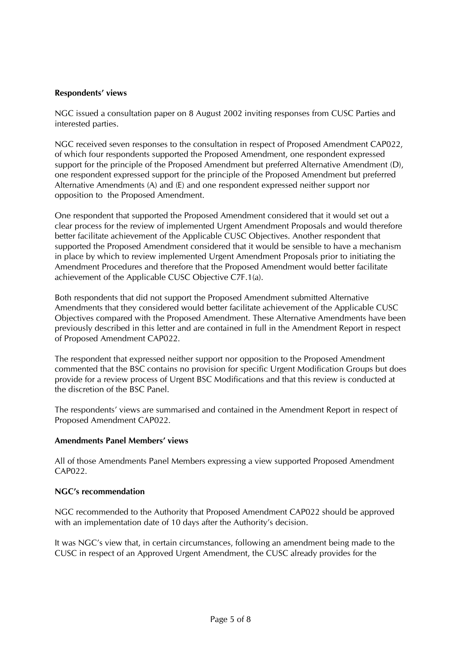### **Respondents' views**

NGC issued a consultation paper on 8 August 2002 inviting responses from CUSC Parties and interested parties.

NGC received seven responses to the consultation in respect of Proposed Amendment CAP022, of which four respondents supported the Proposed Amendment, one respondent expressed support for the principle of the Proposed Amendment but preferred Alternative Amendment (D), one respondent expressed support for the principle of the Proposed Amendment but preferred Alternative Amendments (A) and (E) and one respondent expressed neither support nor opposition to the Proposed Amendment.

One respondent that supported the Proposed Amendment considered that it would set out a clear process for the review of implemented Urgent Amendment Proposals and would therefore better facilitate achievement of the Applicable CUSC Objectives. Another respondent that supported the Proposed Amendment considered that it would be sensible to have a mechanism in place by which to review implemented Urgent Amendment Proposals prior to initiating the Amendment Procedures and therefore that the Proposed Amendment would better facilitate achievement of the Applicable CUSC Objective C7F.1(a).

Both respondents that did not support the Proposed Amendment submitted Alternative Amendments that they considered would better facilitate achievement of the Applicable CUSC Objectives compared with the Proposed Amendment. These Alternative Amendments have been previously described in this letter and are contained in full in the Amendment Report in respect of Proposed Amendment CAP022.

The respondent that expressed neither support nor opposition to the Proposed Amendment commented that the BSC contains no provision for specific Urgent Modification Groups but does provide for a review process of Urgent BSC Modifications and that this review is conducted at the discretion of the BSC Panel.

The respondents' views are summarised and contained in the Amendment Report in respect of Proposed Amendment CAP022.

## **Amendments Panel Members' views**

All of those Amendments Panel Members expressing a view supported Proposed Amendment CAP022.

#### **NGC's recommendation**

NGC recommended to the Authority that Proposed Amendment CAP022 should be approved with an implementation date of 10 days after the Authority's decision.

It was NGC's view that, in certain circumstances, following an amendment being made to the CUSC in respect of an Approved Urgent Amendment, the CUSC already provides for the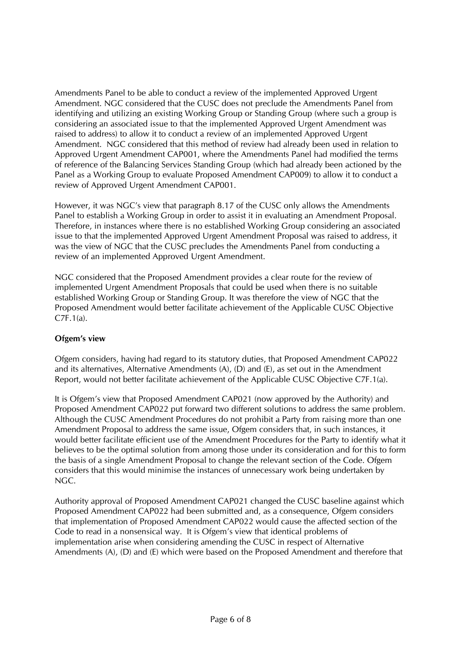Amendments Panel to be able to conduct a review of the implemented Approved Urgent Amendment. NGC considered that the CUSC does not preclude the Amendments Panel from identifying and utilizing an existing Working Group or Standing Group (where such a group is considering an associated issue to that the implemented Approved Urgent Amendment was raised to address) to allow it to conduct a review of an implemented Approved Urgent Amendment. NGC considered that this method of review had already been used in relation to Approved Urgent Amendment CAP001, where the Amendments Panel had modified the terms of reference of the Balancing Services Standing Group (which had already been actioned by the Panel as a Working Group to evaluate Proposed Amendment CAP009) to allow it to conduct a review of Approved Urgent Amendment CAP001.

However, it was NGC's view that paragraph 8.17 of the CUSC only allows the Amendments Panel to establish a Working Group in order to assist it in evaluating an Amendment Proposal. Therefore, in instances where there is no established Working Group considering an associated issue to that the implemented Approved Urgent Amendment Proposal was raised to address, it was the view of NGC that the CUSC precludes the Amendments Panel from conducting a review of an implemented Approved Urgent Amendment.

NGC considered that the Proposed Amendment provides a clear route for the review of implemented Urgent Amendment Proposals that could be used when there is no suitable established Working Group or Standing Group. It was therefore the view of NGC that the Proposed Amendment would better facilitate achievement of the Applicable CUSC Objective C7F.1(a).

## **Ofgem's view**

Ofgem considers, having had regard to its statutory duties, that Proposed Amendment CAP022 and its alternatives, Alternative Amendments (A), (D) and (E), as set out in the Amendment Report, would not better facilitate achievement of the Applicable CUSC Objective C7F.1(a).

It is Ofgem's view that Proposed Amendment CAP021 (now approved by the Authority) and Proposed Amendment CAP022 put forward two different solutions to address the same problem. Although the CUSC Amendment Procedures do not prohibit a Party from raising more than one Amendment Proposal to address the same issue, Ofgem considers that, in such instances, it would better facilitate efficient use of the Amendment Procedures for the Party to identify what it believes to be the optimal solution from among those under its consideration and for this to form the basis of a single Amendment Proposal to change the relevant section of the Code. Ofgem considers that this would minimise the instances of unnecessary work being undertaken by NGC.

Authority approval of Proposed Amendment CAP021 changed the CUSC baseline against which Proposed Amendment CAP022 had been submitted and, as a consequence, Ofgem considers that implementation of Proposed Amendment CAP022 would cause the affected section of the Code to read in a nonsensical way. It is Ofgem's view that identical problems of implementation arise when considering amending the CUSC in respect of Alternative Amendments (A), (D) and (E) which were based on the Proposed Amendment and therefore that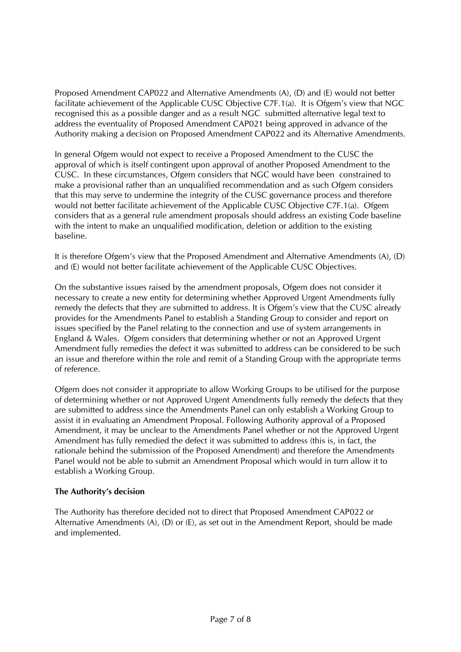Proposed Amendment CAP022 and Alternative Amendments (A), (D) and (E) would not better facilitate achievement of the Applicable CUSC Objective C7F.1(a). It is Ofgem's view that NGC recognised this as a possible danger and as a result NGC submitted alternative legal text to address the eventuality of Proposed Amendment CAP021 being approved in advance of the Authority making a decision on Proposed Amendment CAP022 and its Alternative Amendments.

In general Ofgem would not expect to receive a Proposed Amendment to the CUSC the approval of which is itself contingent upon approval of another Proposed Amendment to the CUSC. In these circumstances, Ofgem considers that NGC would have been constrained to make a provisional rather than an unqualified recommendation and as such Ofgem considers that this may serve to undermine the integrity of the CUSC governance process and therefore would not better facilitate achievement of the Applicable CUSC Objective C7F.1(a). Ofgem considers that as a general rule amendment proposals should address an existing Code baseline with the intent to make an unqualified modification, deletion or addition to the existing baseline.

It is therefore Ofgem's view that the Proposed Amendment and Alternative Amendments (A), (D) and (E) would not better facilitate achievement of the Applicable CUSC Objectives.

On the substantive issues raised by the amendment proposals, Ofgem does not consider it necessary to create a new entity for determining whether Approved Urgent Amendments fully remedy the defects that they are submitted to address. It is Ofgem's view that the CUSC already provides for the Amendments Panel to establish a Standing Group to consider and report on issues specified by the Panel relating to the connection and use of system arrangements in England & Wales. Ofgem considers that determining whether or not an Approved Urgent Amendment fully remedies the defect it was submitted to address can be considered to be such an issue and therefore within the role and remit of a Standing Group with the appropriate terms of reference.

Ofgem does not consider it appropriate to allow Working Groups to be utilised for the purpose of determining whether or not Approved Urgent Amendments fully remedy the defects that they are submitted to address since the Amendments Panel can only establish a Working Group to assist it in evaluating an Amendment Proposal. Following Authority approval of a Proposed Amendment, it may be unclear to the Amendments Panel whether or not the Approved Urgent Amendment has fully remedied the defect it was submitted to address (this is, in fact, the rationale behind the submission of the Proposed Amendment) and therefore the Amendments Panel would not be able to submit an Amendment Proposal which would in turn allow it to establish a Working Group.

## **The Authority's decision**

The Authority has therefore decided not to direct that Proposed Amendment CAP022 or Alternative Amendments (A), (D) or (E), as set out in the Amendment Report, should be made and implemented.